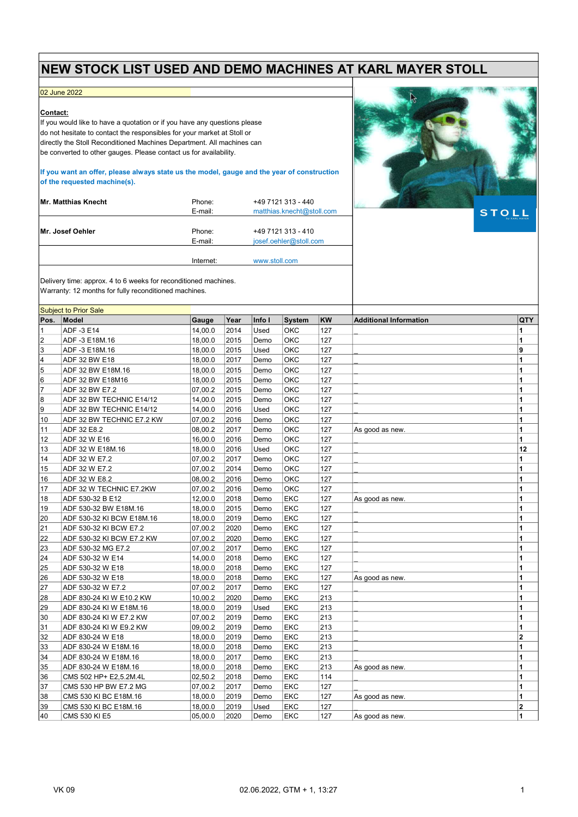## NEW STOCK LIST USED AND DEMO MACHINES AT KARL MAYER STOLL

Internet: www.stoll.com

## 02 June 2022

## Contact:

If you would like to have a quotation or if you have any questions please do not hesitate to contact the responsibles for your market at Stoll or directly the Stoll Reconditioned Machines Department. All machines can be converted to other gauges. Please contact us for availability.

If you want an offer, please always state us the model, gauge and the year of construction of the requested machine(s).

| Mr. Matthias Knecht | Phone:<br>E-mail: | +49 7121 313 - 440<br>matthias.knecht@stoll.com |
|---------------------|-------------------|-------------------------------------------------|
| Mr. Josef Oehler    | Phone:<br>E-mail: | +49 7121 313 - 410<br>josef.oehler@stoll.com    |



**STOLL** 

Delivery time: approx. 4 to 6 weeks for reconditioned machines. Warranty: 12 months for fully reconditioned machines.

| <b>Subject to Prior Sale</b> |                           |         |      |        |               |     |                               |                         |
|------------------------------|---------------------------|---------|------|--------|---------------|-----|-------------------------------|-------------------------|
| Pos.                         | Model                     | Gauge   | Year | Info I | <b>System</b> | KW  | <b>Additional Information</b> | QTY                     |
| $\mathbf{1}$                 | ADF -3 E14                | 14.00.0 | 2014 | Used   | OKC           | 127 |                               | 1                       |
| $\overline{2}$               | ADF -3 E18M.16            | 18,00.0 | 2015 | Demo   | OKC           | 127 |                               | 1                       |
| 3                            | ADF -3 E18M.16            | 18,00.0 | 2015 | Used   | OKC           | 127 |                               | 9                       |
| 4                            | ADF 32 BW E18             | 18,00.0 | 2017 | Demo   | OKC           | 127 |                               | 1                       |
| 5                            | ADF 32 BW E18M.16         | 18,00.0 | 2015 | Demo   | OKC           | 127 |                               | 1                       |
| 6                            | ADF 32 BW E18M16          | 18,00.0 | 2015 | Demo   | OKC           | 127 |                               | 1                       |
| $\overline{7}$               | ADF 32 BW E7.2            | 07,00.2 | 2015 | Demo   | OKC           | 127 |                               | 1                       |
| 8                            | ADF 32 BW TECHNIC E14/12  | 14,00.0 | 2015 | Demo   | OKC           | 127 |                               | 1                       |
| 9                            | ADF 32 BW TECHNIC E14/12  | 14,00.0 | 2016 | Used   | OKC           | 127 |                               | 1                       |
| 10                           | ADF 32 BW TECHNIC E7.2 KW | 07,00.2 | 2016 | Demo   | OKC           | 127 |                               | 1                       |
| 11                           | ADF 32 E8.2               | 08,00.2 | 2017 | Demo   | <b>OKC</b>    | 127 | As good as new.               | 1                       |
| 12                           | ADF 32 W E16              | 16,00.0 | 2016 | Demo   | OKC           | 127 |                               | 1                       |
| 13                           | ADF 32 W E18M.16          | 18,00.0 | 2016 | Used   | OKC           | 127 |                               | 12                      |
| 14                           | ADF 32 W E7.2             | 07,00.2 | 2017 | Demo   | OKC           | 127 |                               | 1                       |
| 15                           | ADF 32 W E7.2             | 07,00.2 | 2014 | Demo   | OKC           | 127 |                               | 1                       |
| 16                           | ADF 32 W E8.2             | 08,00.2 | 2016 | Demo   | OKC           | 127 |                               | 1                       |
| 17                           | ADF 32 W TECHNIC E7.2KW   | 07,00.2 | 2016 | Demo   | OKC           | 127 |                               | 1                       |
| 18                           | ADF 530-32 B E12          | 12,00.0 | 2018 | Demo   | <b>EKC</b>    | 127 | As good as new.               | 1                       |
| 19                           | ADF 530-32 BW E18M.16     | 18,00.0 | 2015 | Demo   | <b>EKC</b>    | 127 |                               | 1                       |
| 20                           | ADF 530-32 KI BCW E18M.16 | 18,00.0 | 2019 | Demo   | EKC           | 127 |                               | 1                       |
| 21                           | ADF 530-32 KI BCW E7.2    | 07,00.2 | 2020 | Demo   | <b>EKC</b>    | 127 |                               | 1                       |
| 22                           | ADF 530-32 KI BCW E7.2 KW | 07,00.2 | 2020 | Demo   | <b>EKC</b>    | 127 |                               | 1                       |
| 23                           | ADF 530-32 MG E7.2        | 07,00.2 | 2017 | Demo   | <b>EKC</b>    | 127 |                               | 1                       |
| 24                           | ADF 530-32 W E14          | 14,00.0 | 2018 | Demo   | <b>EKC</b>    | 127 |                               | 1                       |
| 25                           | ADF 530-32 W E18          | 18,00.0 | 2018 | Demo   | <b>EKC</b>    | 127 |                               | 1                       |
| 26                           | ADF 530-32 W E18          | 18,00.0 | 2018 | Demo   | <b>EKC</b>    | 127 | As good as new.               | 1                       |
| 27                           | ADF 530-32 W E7.2         | 07,00.2 | 2017 | Demo   | <b>EKC</b>    | 127 |                               | 1                       |
| 28                           | ADF 830-24 KI W E10.2 KW  | 10,00.2 | 2020 | Demo   | <b>EKC</b>    | 213 |                               | 1                       |
| 29                           | ADF 830-24 KIW E18M.16    | 18,00.0 | 2019 | Used   | <b>EKC</b>    | 213 |                               | 1                       |
| 30                           | ADF 830-24 KI W E7.2 KW   | 07,00.2 | 2019 | Demo   | <b>EKC</b>    | 213 |                               | 1                       |
| 31                           | ADF 830-24 KIW E9.2 KW    | 09,00.2 | 2019 | Demo   | <b>EKC</b>    | 213 |                               | 1                       |
| 32                           | ADF 830-24 W E18          | 18,00.0 | 2019 | Demo   | <b>EKC</b>    | 213 |                               | $\overline{\mathbf{2}}$ |
| 33                           | ADF 830-24 W E18M.16      | 18,00.0 | 2018 | Demo   | <b>EKC</b>    | 213 |                               | 1                       |
| 34                           | ADF 830-24 W E18M.16      | 18,00.0 | 2017 | Demo   | <b>EKC</b>    | 213 |                               | 1                       |
| 35                           | ADF 830-24 W E18M.16      | 18,00.0 | 2018 | Demo   | <b>EKC</b>    | 213 | As good as new.               | 1                       |
| 36                           | CMS 502 HP+ E2,5.2M.4L    | 02,50.2 | 2018 | Demo   | <b>EKC</b>    | 114 |                               | 1                       |
| 37                           | CMS 530 HP BW E7.2 MG     | 07,00.2 | 2017 | Demo   | EKC           | 127 |                               | 1                       |
| 38                           | CMS 530 KI BC E18M.16     | 18,00.0 | 2019 | Demo   | <b>EKC</b>    | 127 | As good as new.               | 1                       |
| 39                           | CMS 530 KI BC E18M.16     | 18,00.0 | 2019 | Used   | <b>EKC</b>    | 127 |                               | $\overline{\mathbf{2}}$ |
| 40                           | CMS 530 KI E5             | 05,00.0 | 2020 | Demo   | <b>EKC</b>    | 127 | As good as new.               | 1                       |